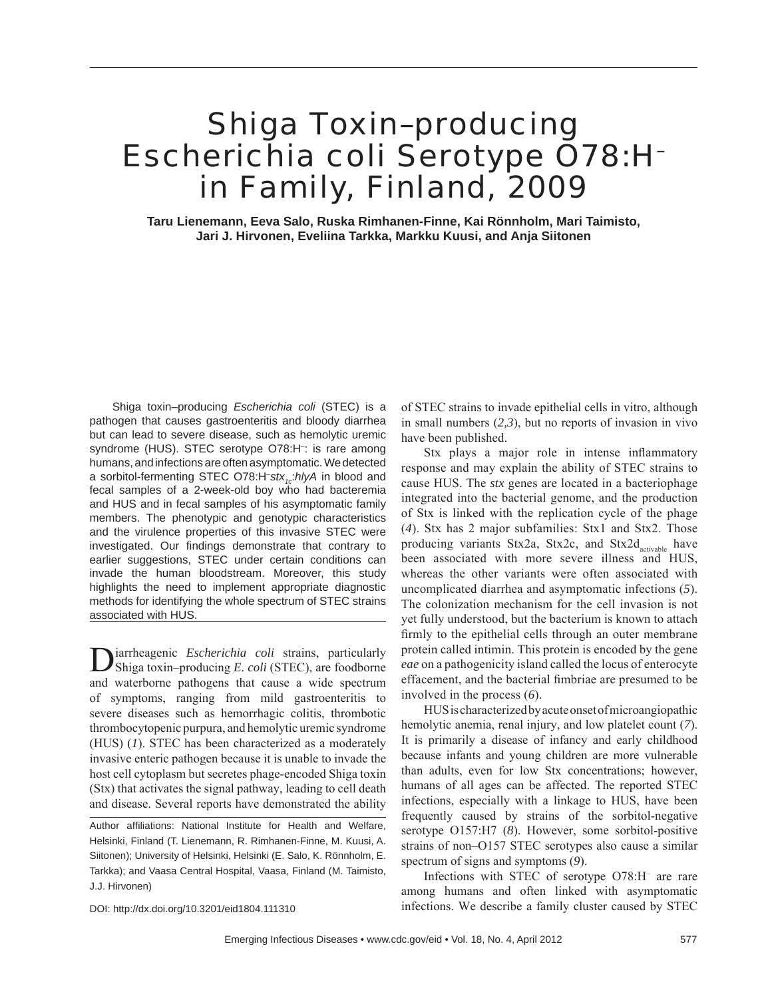# Shiga Toxin–producing *Escherichia coli* Serotype O78:H– in Family, Finland, 2009

**Taru Lienemann, Eeva Salo, Ruska Rimhanen-Finne, Kai Rönnholm, Mari Taimisto, Jari J. Hirvonen, Eveliina Tarkka, Markku Kuusi, and Anja Siitonen**

Shiga toxin–producing *Escherichia coli* (STEC) is a pathogen that causes gastroenteritis and bloody diarrhea but can lead to severe disease, such as hemolytic uremic syndrome (HUS). STEC serotype O78:H– : is rare among humans, and infections are often asymptomatic. We detected a sorbitol-fermenting STEC O78:H<sup>-</sup>stx<sub>1c</sub>:*hlyA* in blood and fecal samples of a 2-week-old boy who had bacteremia and HUS and in fecal samples of his asymptomatic family members. The phenotypic and genotypic characteristics and the virulence properties of this invasive STEC were investigated. Our findings demonstrate that contrary to earlier suggestions, STEC under certain conditions can invade the human bloodstream. Moreover, this study highlights the need to implement appropriate diagnostic methods for identifying the whole spectrum of STEC strains associated with HUS.

iarrheagenic *Escherichia coli* strains, particularly Shiga toxin–producing *E. coli* (STEC), are foodborne and waterborne pathogens that cause a wide spectrum of symptoms, ranging from mild gastroenteritis to severe diseases such as hemorrhagic colitis, thrombotic thrombocytopenic purpura, and hemolytic uremic syndrome (HUS) (*1*). STEC has been characterized as a moderately invasive enteric pathogen because it is unable to invade the host cell cytoplasm but secretes phage-encoded Shiga toxin (Stx) that activates the signal pathway, leading to cell death and disease. Several reports have demonstrated the ability

of STEC strains to invade epithelial cells in vitro, although in small numbers (*2,3*), but no reports of invasion in vivo have been published.

Stx plays a major role in intense inflammatory response and may explain the ability of STEC strains to cause HUS. The *stx* genes are located in a bacteriophage integrated into the bacterial genome, and the production of Stx is linked with the replication cycle of the phage (*4*). Stx has 2 major subfamilies: Stx1 and Stx2. Those producing variants Stx2a, Stx2c, and Stx2d<sub>activable</sub> have been associated with more severe illness and HUS, whereas the other variants were often associated with uncomplicated diarrhea and asymptomatic infections (*5*). The colonization mechanism for the cell invasion is not yet fully understood, but the bacterium is known to attach firmly to the epithelial cells through an outer membrane protein called intimin. This protein is encoded by the gene *eae* on a pathogenicity island called the locus of enterocyte effacement, and the bacterial fimbriae are presumed to be involved in the process (*6*).

HUS is characterized by acute onset of microangiopathic hemolytic anemia, renal injury, and low platelet count (*7*). It is primarily a disease of infancy and early childhood because infants and young children are more vulnerable than adults, even for low Stx concentrations; however, humans of all ages can be affected. The reported STEC infections, especially with a linkage to HUS, have been frequently caused by strains of the sorbitol-negative serotype O157:H7 (*8*). However, some sorbitol-positive strains of non–O157 STEC serotypes also cause a similar spectrum of signs and symptoms (*9*).

Infections with STEC of serotype O78:H– are rare among humans and often linked with asymptomatic infections. We describe a family cluster caused by STEC

DOI: http://dx.doi.org/10.3201/eid1804.111310

Author affiliations: National Institute for Health and Welfare, Helsinki, Finland (T. Lienemann, R. Rimhanen-Finne, M. Kuusi, A. Siitonen); University of Helsinki, Helsinki (E. Salo, K. Rönnholm, E. Tarkka); and Vaasa Central Hospital, Vaasa, Finland (M. Taimisto, J.J. Hirvonen)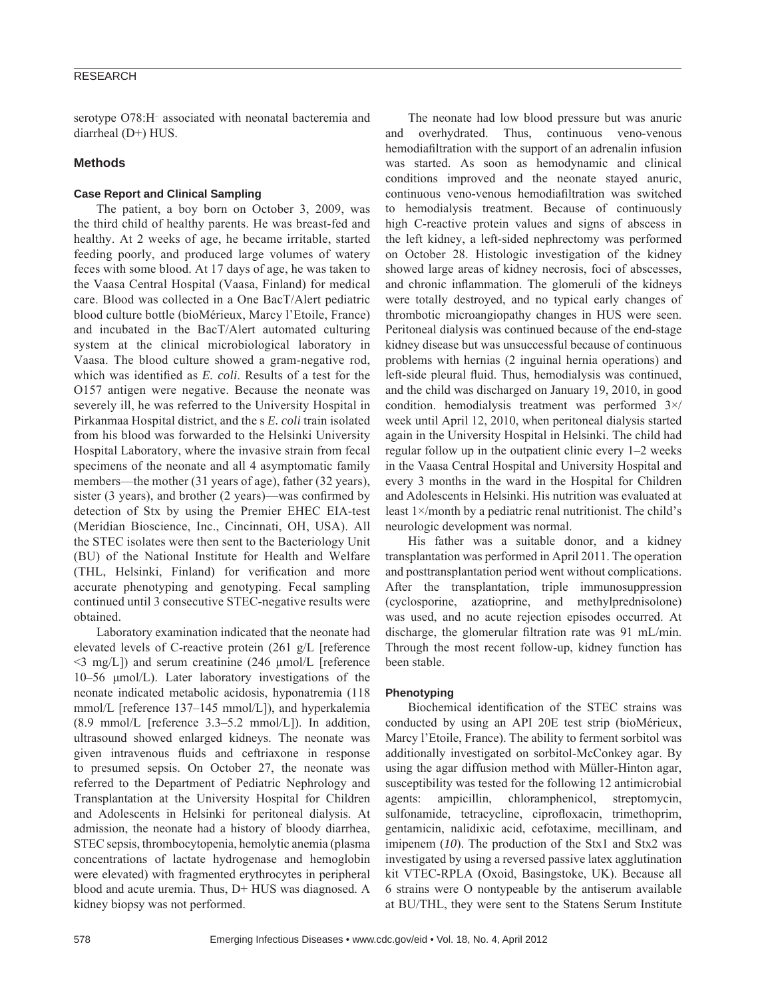# RESEARCH

serotype O78:H– associated with neonatal bacteremia and diarrheal (D+) HUS.

### **Methods**

# **Case Report and Clinical Sampling**

The patient, a boy born on October 3, 2009, was the third child of healthy parents. He was breast-fed and healthy. At 2 weeks of age, he became irritable, started feeding poorly, and produced large volumes of watery feces with some blood. At 17 days of age, he was taken to the Vaasa Central Hospital (Vaasa, Finland) for medical care. Blood was collected in a One BacT/Alert pediatric blood culture bottle (bioMérieux, Marcy l'Etoile, France) and incubated in the BacT/Alert automated culturing system at the clinical microbiological laboratory in Vaasa. The blood culture showed a gram-negative rod, which was identified as *E. coli*. Results of a test for the O157 antigen were negative. Because the neonate was severely ill, he was referred to the University Hospital in Pirkanmaa Hospital district, and the s *E. coli* train isolated from his blood was forwarded to the Helsinki University Hospital Laboratory, where the invasive strain from fecal specimens of the neonate and all 4 asymptomatic family members—the mother (31 years of age), father (32 years), sister (3 years), and brother (2 years)—was confirmed by detection of Stx by using the Premier EHEC EIA-test (Meridian Bioscience, Inc., Cincinnati, OH, USA). All the STEC isolates were then sent to the Bacteriology Unit (BU) of the National Institute for Health and Welfare (THL, Helsinki, Finland) for verification and more accurate phenotyping and genotyping. Fecal sampling continued until 3 consecutive STEC-negative results were obtained.

Laboratory examination indicated that the neonate had elevated levels of C-reactive protein (261 g/L [reference  $\leq$ 3 mg/L]) and serum creatinine (246 μmol/L [reference] 10–56 μmol/L). Later laboratory investigations of the neonate indicated metabolic acidosis, hyponatremia (118 mmol/L [reference 137–145 mmol/L]), and hyperkalemia  $(8.9 \text{ mmol/L})$  [reference 3.3–5.2 mmol/L]). In addition, ultrasound showed enlarged kidneys. The neonate was given intravenous fluids and ceftriaxone in response to presumed sepsis. On October 27, the neonate was referred to the Department of Pediatric Nephrology and Transplantation at the University Hospital for Children and Adolescents in Helsinki for peritoneal dialysis. At admission, the neonate had a history of bloody diarrhea, STEC sepsis, thrombocytopenia, hemolytic anemia (plasma concentrations of lactate hydrogenase and hemoglobin were elevated) with fragmented erythrocytes in peripheral blood and acute uremia. Thus, D+ HUS was diagnosed. A kidney biopsy was not performed.

The neonate had low blood pressure but was anuric and overhydrated. Thus, continuous veno-venous hemodiafiltration with the support of an adrenalin infusion was started. As soon as hemodynamic and clinical conditions improved and the neonate stayed anuric, continuous veno-venous hemodiafiltration was switched to hemodialysis treatment. Because of continuously high C-reactive protein values and signs of abscess in the left kidney, a left-sided nephrectomy was performed on October 28. Histologic investigation of the kidney showed large areas of kidney necrosis, foci of abscesses, and chronic inflammation. The glomeruli of the kidneys were totally destroyed, and no typical early changes of thrombotic microangiopathy changes in HUS were seen. Peritoneal dialysis was continued because of the end-stage kidney disease but was unsuccessful because of continuous problems with hernias (2 inguinal hernia operations) and left-side pleural fluid. Thus, hemodialysis was continued, and the child was discharged on January 19, 2010, in good condition. hemodialysis treatment was performed 3×/ week until April 12, 2010, when peritoneal dialysis started again in the University Hospital in Helsinki. The child had regular follow up in the outpatient clinic every 1–2 weeks in the Vaasa Central Hospital and University Hospital and every 3 months in the ward in the Hospital for Children and Adolescents in Helsinki. His nutrition was evaluated at least 1×/month by a pediatric renal nutritionist. The child's neurologic development was normal.

His father was a suitable donor, and a kidney transplantation was performed in April 2011. The operation and posttransplantation period went without complications. After the transplantation, triple immunosuppression (cyclosporine, azatioprine, and methylprednisolone) was used, and no acute rejection episodes occurred. At discharge, the glomerular filtration rate was 91 mL/min. Through the most recent follow-up, kidney function has been stable.

#### **Phenotyping**

Biochemical identification of the STEC strains was conducted by using an API 20E test strip (bioMérieux, Marcy l'Etoile, France). The ability to ferment sorbitol was additionally investigated on sorbitol-McConkey agar. By using the agar diffusion method with Müller-Hinton agar, susceptibility was tested for the following 12 antimicrobial agents: ampicillin, chloramphenicol, streptomycin, sulfonamide, tetracycline, ciprofloxacin, trimethoprim, gentamicin, nalidixic acid, cefotaxime, mecillinam, and imipenem (*10*). The production of the Stx1 and Stx2 was investigated by using a reversed passive latex agglutination kit VTEC-RPLA (Oxoid, Basingstoke, UK). Because all 6 strains were O nontypeable by the antiserum available at BU/THL, they were sent to the Statens Serum Institute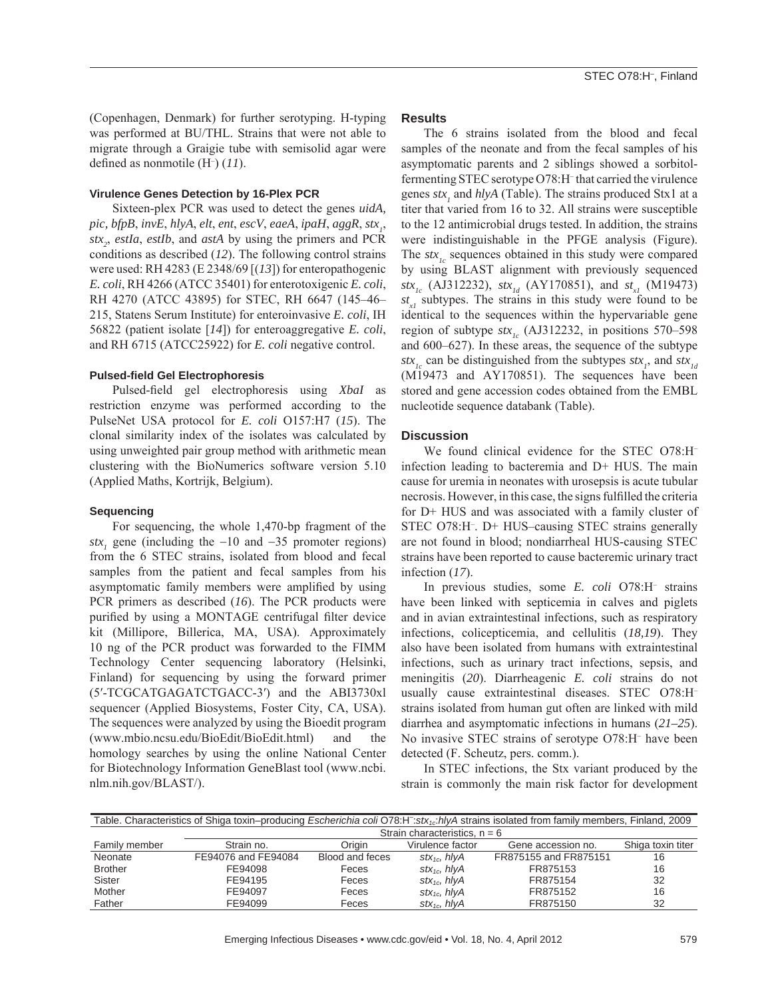(Copenhagen, Denmark) for further serotyping. H-typing was performed at BU/THL. Strains that were not able to migrate through a Graigie tube with semisolid agar were defined as nonmotile  $(H<sup>-</sup>) (11)$ .

### **Virulence Genes Detection by 16-Plex PCR**

Sixteen-plex PCR was used to detect the genes *uidA, pic, bfpB, invE, hlyA, elt, ent, escV, eaeA, ipaH, aggR, stx<sub>1</sub>, stx2* , *estIa*, *estIb*, and *astA* by using the primers and PCR conditions as described (*12*). The following control strains were used: RH 4283 (E 2348/69 [(*13*]) for enteropathogenic *E. coli*, RH 4266 (ATCC 35401) for enterotoxigenic *E. coli*, RH 4270 (ATCC 43895) for STEC, RH 6647 (145–46– 215, Statens Serum Institute) for enteroinvasive *E. coli*, IH 56822 (patient isolate [*14*]) for enteroaggregative *E. coli*, and RH 6715 (ATCC25922) for *E. coli* negative control.

#### **Pulsed-fi eld Gel Electrophoresis**

Pulsed-field gel electrophoresis using *XbaI* as restriction enzyme was performed according to the PulseNet USA protocol for *E. coli* O157:H7 (*15*). The clonal similarity index of the isolates was calculated by using unweighted pair group method with arithmetic mean clustering with the BioNumerics software version 5.10 (Applied Maths, Kortrijk, Belgium).

## **Sequencing**

For sequencing, the whole 1,470-bp fragment of the  $\text{str}_{1}$  gene (including the  $-10$  and  $-35$  promoter regions) from the 6 STEC strains, isolated from blood and fecal samples from the patient and fecal samples from his asymptomatic family members were amplified by using PCR primers as described (*16*). The PCR products were purified by using a MONTAGE centrifugal filter device kit (Millipore, Billerica, MA, USA). Approximately 10 ng of the PCR product was forwarded to the FIMM Technology Center sequencing laboratory (Helsinki, Finland) for sequencing by using the forward primer (5′-TCGCATGAGATCTGACC-3′) and the ABI3730xl sequencer (Applied Biosystems, Foster City, CA, USA). The sequences were analyzed by using the Bioedit program (www.mbio.ncsu.edu/BioEdit/BioEdit.html) and the homology searches by using the online National Center for Biotechnology Information GeneBlast tool (www.ncbi. nlm.nih.gov/BLAST/).

# **Results**

The 6 strains isolated from the blood and fecal samples of the neonate and from the fecal samples of his asymptomatic parents and 2 siblings showed a sorbitolfermenting STEC serotype O78:H<sup>-</sup> that carried the virulence genes  $\text{str}_1$  and  $\text{hlyA}$  (Table). The strains produced Stx1 at a titer that varied from 16 to 32. All strains were susceptible to the 12 antimicrobial drugs tested. In addition, the strains were indistinguishable in the PFGE analysis (Figure). The  $stx_k$  sequences obtained in this study were compared by using BLAST alignment with previously sequenced *stx<sub>1c</sub>* (AJ312232), *stx<sub>1d</sub>* (AY170851), and *st<sub>x1</sub>* (M19473)  $st_{rt}$  subtypes. The strains in this study were found to be identical to the sequences within the hypervariable gene region of subtype  $stx_{i,c}$  (AJ312232, in positions 570–598 and 600–627). In these areas, the sequence of the subtype  $s$ *tx*<sub>1c</sub> can be distinguished from the subtypes  $s$ *tx*<sub>1</sub>, and  $s$ *tx*<sub>1d</sub> (M19473 and AY170851). The sequences have been stored and gene accession codes obtained from the EMBL nucleotide sequence databank (Table).

## **Discussion**

We found clinical evidence for the STEC O78:H– infection leading to bacteremia and D+ HUS. The main cause for uremia in neonates with urosepsis is acute tubular necrosis. However, in this case, the signs fulfilled the criteria for D+ HUS and was associated with a family cluster of STEC O78:H– . D+ HUS–causing STEC strains generally are not found in blood; nondiarrheal HUS-causing STEC strains have been reported to cause bacteremic urinary tract infection (*17*).

In previous studies, some *E. coli* O78:H– strains have been linked with septicemia in calves and piglets and in avian extraintestinal infections, such as respiratory infections, colicepticemia, and cellulitis (*18,19*). They also have been isolated from humans with extraintestinal infections, such as urinary tract infections, sepsis, and meningitis (*20*). Diarrheagenic *E. coli* strains do not usually cause extraintestinal diseases. STEC O78:H– strains isolated from human gut often are linked with mild diarrhea and asymptomatic infections in humans (*21–25*). No invasive STEC strains of serotype O78:H– have been detected (F. Scheutz, pers. comm.).

In STEC infections, the Stx variant produced by the strain is commonly the main risk factor for development

| Table. Characteristics of Shiga toxin–producing Escherichia coli O78:H <sup>-</sup> :stx <sub>1c</sub> :hlyA strains isolated from family members, Finland, 2009 |                                 |                 |                                 |                       |                   |  |  |  |
|------------------------------------------------------------------------------------------------------------------------------------------------------------------|---------------------------------|-----------------|---------------------------------|-----------------------|-------------------|--|--|--|
|                                                                                                                                                                  | Strain characteristics, $n = 6$ |                 |                                 |                       |                   |  |  |  |
| Family member                                                                                                                                                    | Strain no.                      | Oriain          | Virulence factor                | Gene accession no.    | Shiga toxin titer |  |  |  |
| Neonate                                                                                                                                                          | FE94076 and FE94084             | Blood and feces | $stx_{1c}$ , hly $\overline{A}$ | FR875155 and FR875151 | 16                |  |  |  |
| <b>Brother</b>                                                                                                                                                   | FE94098                         | Feces           | $stx_{1c}$ , hly $\overline{A}$ | FR875153              | 16                |  |  |  |
| <b>Sister</b>                                                                                                                                                    | FE94195                         | Feces           | $stx_{1c}$ , hlyA               | FR875154              | 32                |  |  |  |
| Mother                                                                                                                                                           | FE94097                         | Feces           | $stx_{1c}$ , hlyA               | FR875152              | 16                |  |  |  |
| Father                                                                                                                                                           | FE94099                         | Feces           | $stx_{1c}$ , hlyA               | FR875150              | 32                |  |  |  |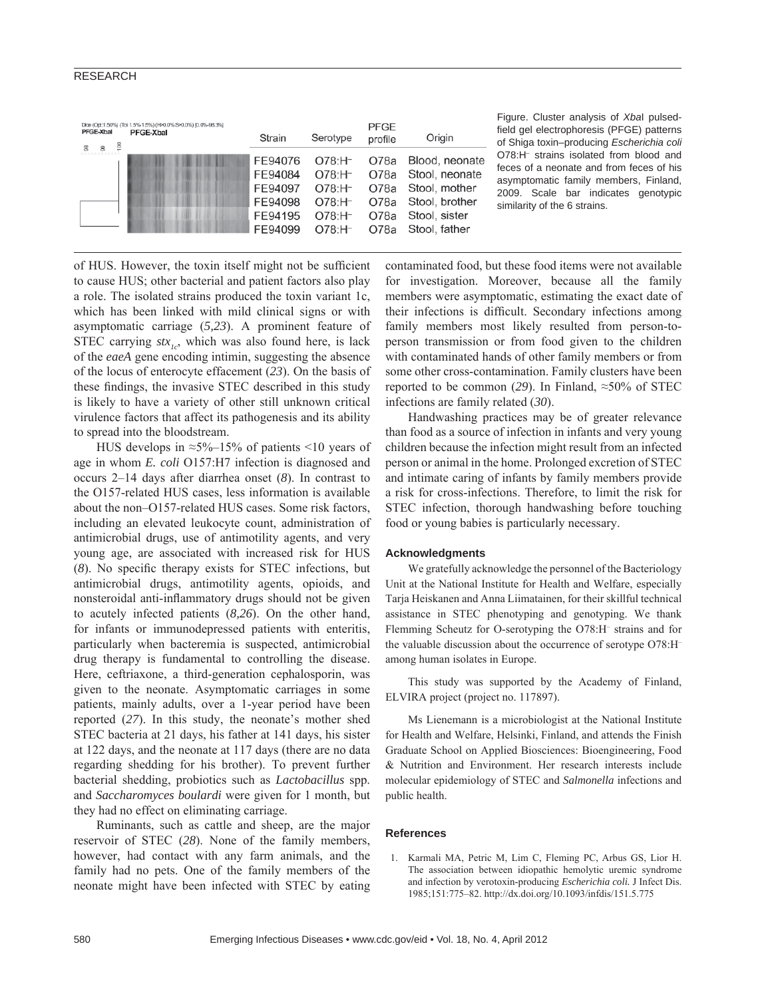#### RESEARCH

| PFGE-Xbal<br>$\geq$ | Dice (Opt:1.50%) (Tol 1.5%-1.5%) (H>0.0% S>0.0%) [0.0%-98.3%]<br><b>PFGE-Xbal</b> | Strain                                                         | Serotype                                                                         | PFGE<br>profile                              | Origin                                                                                                |
|---------------------|-----------------------------------------------------------------------------------|----------------------------------------------------------------|----------------------------------------------------------------------------------|----------------------------------------------|-------------------------------------------------------------------------------------------------------|
| $\frac{8}{2}$<br>8. |                                                                                   | FE94076<br>FE94084<br>FE94097<br>FE94098<br>FE94195<br>FF94099 | $O78: H^-$<br>$O78: H^-$<br>$O78: H^-$<br>$O78: H^-$<br>$O78: H^-$<br>$O78: H^-$ | O78a<br>O78a<br>O78a<br>O78a<br>O78a<br>O78a | Blood, neonate<br>Stool, neonate<br>Stool, mother<br>Stool, brother<br>Stool, sister<br>Stool, father |

Figure. Cluster analysis of *Xba*I pulsedfield gel electrophoresis (PFGE) patterns of Shiga toxin–producing *Escherichia coli* O78:H<sup>-</sup> strains isolated from blood and feces of a neonate and from feces of his asymptomatic family members, Finland, 2009. Scale bar indicates genotypic similarity of the 6 strains.

of HUS. However, the toxin itself might not be sufficient to cause HUS; other bacterial and patient factors also play a role. The isolated strains produced the toxin variant 1c, which has been linked with mild clinical signs or with asymptomatic carriage (*5,23*). A prominent feature of STEC carrying  $stx_{1c}$ , which was also found here, is lack of the *eaeA* gene encoding intimin, suggesting the absence of the locus of enterocyte effacement (*23*). On the basis of these findings, the invasive STEC described in this study is likely to have a variety of other still unknown critical virulence factors that affect its pathogenesis and its ability to spread into the bloodstream.

HUS develops in ≈5%–15% of patients <10 years of age in whom *E. coli* O157:H7 infection is diagnosed and occurs 2–14 days after diarrhea onset (*8*). In contrast to the O157-related HUS cases, less information is available about the non–O157-related HUS cases. Some risk factors, including an elevated leukocyte count, administration of antimicrobial drugs, use of antimotility agents, and very young age, are associated with increased risk for HUS (8). No specific therapy exists for STEC infections, but antimicrobial drugs, antimotility agents, opioids, and nonsteroidal anti-inflammatory drugs should not be given to acutely infected patients (*8,26*). On the other hand, for infants or immunodepressed patients with enteritis, particularly when bacteremia is suspected, antimicrobial drug therapy is fundamental to controlling the disease. Here, ceftriaxone, a third-generation cephalosporin, was given to the neonate. Asymptomatic carriages in some patients, mainly adults, over a 1-year period have been reported (*27*). In this study, the neonate's mother shed STEC bacteria at 21 days, his father at 141 days, his sister at 122 days, and the neonate at 117 days (there are no data regarding shedding for his brother). To prevent further bacterial shedding, probiotics such as *Lactobacillus* spp. and *Saccharomyces boulardi* were given for 1 month, but they had no effect on eliminating carriage.

Ruminants, such as cattle and sheep, are the major reservoir of STEC (*28*). None of the family members, however, had contact with any farm animals, and the family had no pets. One of the family members of the neonate might have been infected with STEC by eating contaminated food, but these food items were not available for investigation. Moreover, because all the family members were asymptomatic, estimating the exact date of their infections is difficult. Secondary infections among family members most likely resulted from person-toperson transmission or from food given to the children with contaminated hands of other family members or from some other cross-contamination. Family clusters have been reported to be common (*29*). In Finland, ≈50% of STEC infections are family related (*30*).

Handwashing practices may be of greater relevance than food as a source of infection in infants and very young children because the infection might result from an infected person or animal in the home. Prolonged excretion of STEC and intimate caring of infants by family members provide a risk for cross-infections. Therefore, to limit the risk for STEC infection, thorough handwashing before touching food or young babies is particularly necessary.

#### **Acknowledgments**

We gratefully acknowledge the personnel of the Bacteriology Unit at the National Institute for Health and Welfare, especially Tarja Heiskanen and Anna Liimatainen, for their skillful technical assistance in STEC phenotyping and genotyping. We thank Flemming Scheutz for O-serotyping the O78:H– strains and for the valuable discussion about the occurrence of serotype O78:H– among human isolates in Europe.

This study was supported by the Academy of Finland, ELVIRA project (project no. 117897).

Ms Lienemann is a microbiologist at the National Institute for Health and Welfare, Helsinki, Finland, and attends the Finish Graduate School on Applied Biosciences: Bioengineering, Food & Nutrition and Environment. Her research interests include molecular epidemiology of STEC and *Salmonella* infections and public health.

#### **References**

 1. Karmali MA, Petric M, Lim C, Fleming PC, Arbus GS, Lior H. The association between idiopathic hemolytic uremic syndrome and infection by verotoxin-producing *Escherichia coli.* J Infect Dis. 1985;151:775–82. http://dx.doi.org/10.1093/infdis/151.5.775